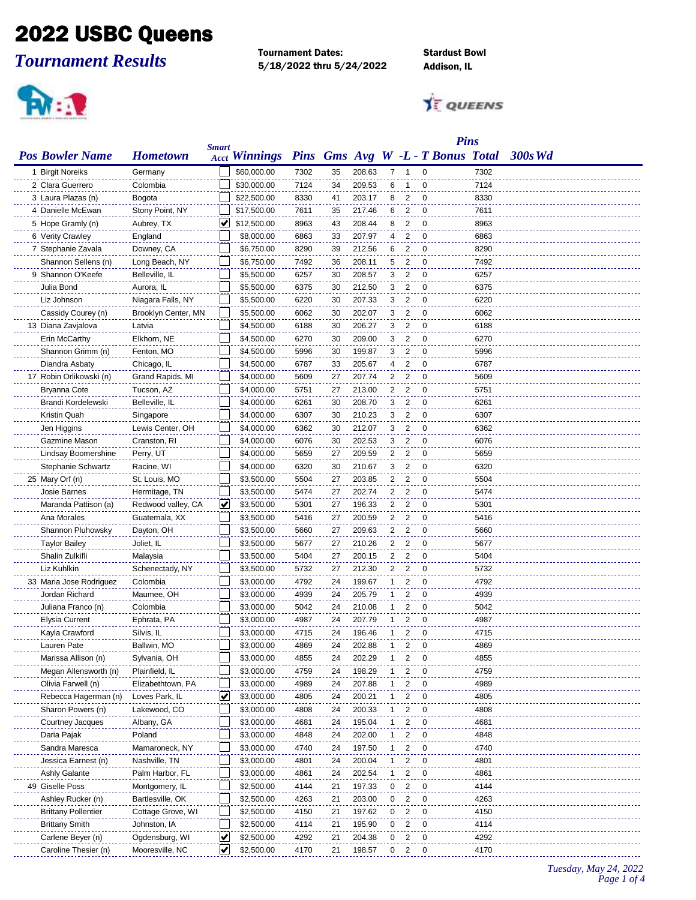## 2022 USBC Queens

*Tournament Results*

Tournament Dates: Stardust Bowl 5/18/2022 thru 5/24/2022 Addison, IL

**Ariel** 

**TE QUEENS** 

| <b>Pins</b>                |                     |              |                      |      |           |        |                |                         |                                   |      |                |
|----------------------------|---------------------|--------------|----------------------|------|-----------|--------|----------------|-------------------------|-----------------------------------|------|----------------|
| <b>Pos Bowler Name</b>     | <b>Hometown</b>     | <b>Smart</b> | <b>Acct Winnings</b> |      |           |        |                |                         | Pins Gms Avg W -L - T Bonus Total |      | <b>300s Wd</b> |
| 1 Birgit Noreiks           | Germany             |              | \$60,000.00          | 7302 | 35        | 208.63 | 7.             | -1                      | 0                                 | 7302 |                |
| 2 Clara Guerrero           | Colombia            |              | \$30,000.00          | 7124 | 34        | 209.53 | 6              | 1                       | 0                                 | 7124 |                |
| 3 Laura Plazas (n)         | Bogota              |              | \$22,500.00          | 8330 | 41        | 203.17 | 8              | $\overline{2}$          | 0                                 | 8330 |                |
| 4 Danielle McEwan          | Stony Point, NY     |              | \$17,500.00          | 7611 | 35        | 217.46 | 6              | $\overline{2}$          | $\mathbf 0$                       | 7611 |                |
| 5 Hope Gramly (n)          | Aubrey, TX          |              | \$12,500.00          | 8963 | 43        | 208.44 | 8              | $\overline{2}$          | $\mathbf 0$                       | 8963 |                |
| 6 Verity Crawley           | England             |              | \$8,000.00           | 6863 | 33        | 207.97 | 4              | $\overline{2}$          | $\mathbf 0$                       | 6863 |                |
| 7 Stephanie Zavala         | Downey, CA          |              | \$6,750.00           | 8290 | 39        | 212.56 | 6              | $\overline{2}$          | 0                                 | 8290 |                |
| Shannon Sellens (n)        | Long Beach, NY      |              | \$6,750.00           | 7492 | 36        | 208.11 | 5              | $\overline{2}$          | $\mathbf 0$                       | 7492 |                |
| 9 Shannon O'Keefe          | Belleville, IL      |              | \$5,500.00           | 6257 | 30        | 208.57 | 3              | $\overline{c}$          | 0                                 | 6257 |                |
| Julia Bond                 | Aurora, IL          |              | \$5,500.00           | 6375 | 30        | 212.50 | 3              | $\overline{2}$          | 0                                 | 6375 |                |
| Liz Johnson                | Niagara Falls, NY   |              | \$5,500.00           | 6220 | 30        | 207.33 | 3              | $\overline{2}$          | 0                                 | 6220 |                |
| Cassidy Courey (n)         | Brooklyn Center, MN |              | \$5,500.00           | 6062 | 30        | 202.07 | 3              | $\overline{2}$          | $\mathbf 0$                       | 6062 |                |
| 13 Diana Zavjalova         | Latvia              |              | \$4,500.00           | 6188 | 30        | 206.27 | 3              | $\overline{2}$          | $\mathbf 0$                       | 6188 |                |
| Erin McCarthy              | Elkhorn, NE         |              | \$4,500.00           | 6270 | 30        | 209.00 | 3              | $\overline{2}$          | $\overline{0}$                    | 6270 |                |
| Shannon Grimm (n)          | Fenton, MO          |              | \$4,500.00           | 5996 | 30        | 199.87 | 3              | $\overline{2}$          | $\mathbf 0$                       | 5996 |                |
| Diandra Asbaty             | Chicago, IL         |              | \$4,500.00           | 6787 | 33        | 205.67 | 4              | $\overline{c}$          | 0                                 | 6787 |                |
| 17 Robin Orlikowski (n)    | Grand Rapids, MI    |              | \$4,000.00           | 5609 | 27        | 207.74 | 2              | $\overline{2}$          | 0                                 | 5609 |                |
| Bryanna Cote               | Tucson, AZ          |              | \$4,000.00           | 5751 | 27        | 213.00 | 2              | $\overline{2}$          | 0                                 | 5751 |                |
| Brandi Kordelewski         | Belleville, IL      |              | \$4,000.00           | 6261 | 30        | 208.70 | 3              | $\overline{2}$          | 0                                 | 6261 |                |
| Kristin Quah               | Singapore           |              | \$4,000.00           | 6307 | 30        | 210.23 | 3              | $\overline{2}$          | $\mathbf 0$                       | 6307 |                |
| Jen Higgins                | Lewis Center, OH    |              | \$4,000.00           | 6362 | 30        | 212.07 | 3              | $\overline{2}$          | $\mathbf 0$                       | 6362 |                |
| Gazmine Mason              | Cranston, RI        |              | \$4,000.00           | 6076 | 30        | 202.53 | 3              | $\overline{2}$          | $\overline{0}$                    | 6076 |                |
| Lindsay Boomershine        | Perry, UT           |              | \$4,000.00           | 5659 | 27        | 209.59 | $\overline{2}$ | $\overline{\mathbf{2}}$ | $\mathbf 0$                       | 5659 |                |
| Stephanie Schwartz         | Racine, WI          |              | \$4,000.00           | 6320 | 30        | 210.67 | 3              | $\overline{2}$          | $\mathbf 0$                       | 6320 |                |
| 25 Mary Orf (n)            | St. Louis, MO       |              | \$3,500.00           | 5504 | 27        | 203.85 | 2              | $\overline{2}$          | 0                                 | 5504 |                |
| Josie Barnes               | Hermitage, TN       |              | \$3,500.00           | 5474 | 27        | 202.74 | 2              | $\overline{2}$          | 0                                 | 5474 |                |
| Maranda Pattison (a)       | Redwood valley, CA  | V            | \$3,500.00           | 5301 | 27        | 196.33 | 2              | $\overline{2}$          | 0                                 | 5301 |                |
| Ana Morales                | Guatemala, XX       |              | \$3,500.00           | 5416 | 27        | 200.59 | 2              | $\overline{2}$          | $\mathbf 0$                       | 5416 |                |
| Shannon Pluhowsky          | Dayton, OH          |              | \$3,500.00           | 5660 | 27        | 209.63 | 2              | $\overline{2}$          | 0                                 | 5660 |                |
| <b>Taylor Bailey</b>       | Joliet, IL          |              | \$3,500.00           | 5677 | 27        | 210.26 | 2              | $\overline{2}$          | $\mathbf 0$                       | 5677 |                |
| Shalin Zulkifli            | Malaysia            |              | \$3,500.00           | 5404 | 27        | 200.15 | 2              | $\overline{2}$          | $\mathbf 0$                       | 5404 |                |
| Liz Kuhlkin                | Schenectady, NY     |              | \$3,500.00           | 5732 | 27        | 212.30 | 2              | $\overline{2}$          | $\mathbf 0$                       | 5732 |                |
| 33 Maria Jose Rodriguez    | Colombia            |              | \$3,000.00           | 4792 | 24        | 199.67 | 1              | 2                       | 0                                 | 4792 |                |
| Jordan Richard             | Maumee, OH          |              | \$3,000.00           | 4939 | 24        | 205.79 | 1              | 2                       | 0                                 | 4939 |                |
| Juliana Franco (n)         | Colombia            |              | \$3,000.00           | 5042 | 24        | 210.08 | 1              | 2                       | 0                                 | 5042 |                |
| Elysia Current             | Ephrata, PA         |              | \$3,000.00           | 4987 | 24        | 207.79 | 1              | $\overline{2}$          | $\mathbf 0$                       | 4987 |                |
| Kayla Crawford             | Silvis, IL          |              | \$3,000.00           | 4715 | 24        | 196.46 | 1              | 2                       | 0                                 | 4715 |                |
| Lauren Pate                | Ballwin, MO         |              | \$3,000.00           | 4869 | 24        | 202.88 | 1              | 2                       | $\Omega$                          | 4869 |                |
| Marissa Allison (n)        | Sylvania, OH        |              | \$3,000.00           | 4855 | 24        | 202.29 | 1              | $\overline{\mathbf{2}}$ | $\mathbf 0$                       | 4855 |                |
| Megan Allensworth (n)      | Plainfield, IL      |              | \$3,000.00           | 4759 | 24        | 198.29 | 1              | 2                       | 0                                 | 4759 |                |
| Olivia Farwell (n)         | Elizabethtown, PA   |              | \$3,000.00           | 4989 | 24        | 207.88 | 1              | 2                       | 0                                 | 4989 |                |
| Rebecca Hagerman (n)       | Loves Park, IL      | <u>V</u>     | \$3,000.00           | 4805 | 24        | 200.21 | 1              | 2                       | $\mathbf 0$                       | 4805 |                |
| Sharon Powers (n)          | Lakewood, CO        |              | \$3,000.00           | 4808 | 24        | 200.33 | 1              | 2                       | 0                                 | 4808 |                |
| Courtney Jacques           | Albany, GA          |              | \$3,000.00           | 4681 | 24        | 195.04 |                | 2                       | 0                                 | 4681 |                |
| Daria Pajak                | Poland              |              | \$3,000.00           | 4848 | 24        | 202.00 | 1              | 2                       | 0                                 | 4848 |                |
| Sandra Maresca             | Mamaroneck, NY      |              | \$3,000.00           | 4740 | 24        | 197.50 | 1              | 2                       | $\mathbf 0$                       | 4740 |                |
| Jessica Earnest (n)        | Nashville, TN       |              | \$3,000.00           | 4801 | 24        | 200.04 | 1              | $\overline{2}$          | $\mathbf 0$                       | 4801 |                |
| <b>Ashly Galante</b>       | Palm Harbor, FL     |              | \$3,000.00           | 4861 | 24        | 202.54 | 1              | $\overline{\mathbf{c}}$ | 0                                 | 4861 |                |
| 49 Giselle Poss            | Montgomery, IL      |              | \$2,500.00           | 4144 | 21        | 197.33 | 0              | $\overline{\mathbf{c}}$ | 0                                 | 4144 |                |
| Ashley Rucker (n)          | Bartlesville, OK    |              | \$2,500.00           | 4263 | <u>21</u> | 203.00 | 0              | 2                       | $\boldsymbol{0}$                  | 4263 |                |
| <b>Brittany Pollentier</b> | Cottage Grove, WI   |              | \$2,500.00           | 4150 | 21        | 197.62 | 0              | $\overline{2}$          | 0                                 | 4150 |                |
| <b>Brittany Smith</b>      | Johnston, IA        |              | \$2,500.00           | 4114 | 21        | 195.90 | 0              | 2                       | 0                                 | 4114 |                |
| Carlene Beyer (n)          | Ogdensburg, WI      | ✔            | \$2,500.00           | 4292 | 21        | 204.38 | 0              | $\overline{2}$          | 0                                 | 4292 |                |
| Caroline Thesier (n)       | Mooresville, NC     | V            | \$2,500.00           | 4170 | 21        | 198.57 | 0              | 2                       | $\mathbf 0$                       | 4170 |                |
|                            |                     |              |                      |      |           |        |                |                         |                                   |      |                |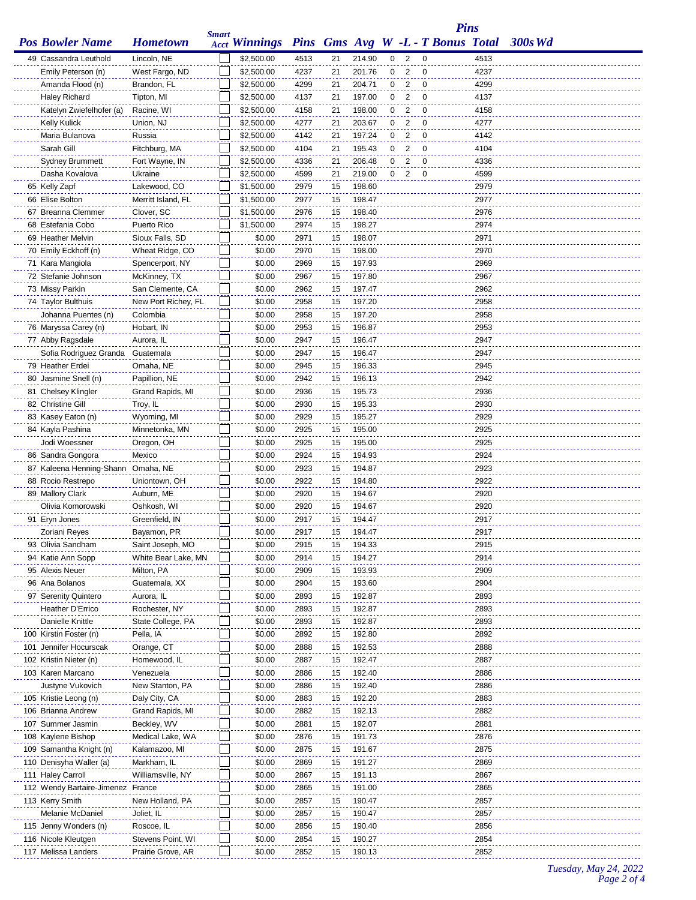|                                      |                                   |              |                                                 |              |          |                  |   |                | <b>Pins</b> |              |           |
|--------------------------------------|-----------------------------------|--------------|-------------------------------------------------|--------------|----------|------------------|---|----------------|-------------|--------------|-----------|
| <b>Pos Bowler Name</b>               | <b>Hometown</b>                   | <b>Smart</b> | Acct Winnings Pins Gms Avg W -L - T Bonus Total |              |          |                  |   |                |             |              | $300s$ Wd |
| 49 Cassandra Leuthold                | Lincoln, NE                       |              | \$2,500.00                                      | 4513         | 21       | 214.90           | 0 | 2              | 0           | 4513         |           |
| Emily Peterson (n)                   | West Fargo, ND                    |              | \$2,500.00                                      | 4237         | 21       | 201.76           | 0 | 2              | 0           | 4237         |           |
| Amanda Flood (n)                     | Brandon, FL                       |              | \$2,500.00                                      | 4299         | 21       | 204.71           | 0 | $\overline{c}$ | 0           | 4299         |           |
| <b>Haley Richard</b>                 | Tipton, MI                        |              | \$2,500.00                                      | 4137         | 21       | 197.00           | 0 | $\overline{2}$ | $\mathbf 0$ | 4137         |           |
| Katelyn Zwiefelhofer (a)             | Racine, WI                        |              | \$2,500.00                                      | 4158         | 21       | 198.00           | 0 | 2              | 0           | 4158         |           |
| <b>Kelly Kulick</b>                  | Union, NJ                         |              | \$2,500.00                                      | 4277         | 21       | 203.67           | 0 | $\overline{c}$ | 0           | 4277         |           |
| Maria Bulanova                       | Russia                            |              | \$2,500.00                                      | 4142         | 21       | 197.24           | 0 | 2              | 0           | 4142         |           |
| Sarah Gill                           | Fitchburg, MA                     |              | \$2,500.00                                      | 4104         | 21       | 195.43           | 0 | 2              | 0           | 4104         |           |
| Sydney Brummett                      | Fort Wayne, IN                    |              | \$2,500.00                                      | 4336         | 21       | 206.48           | 0 | 2              | 0           | 4336         |           |
| Dasha Kovalova                       | Ukraine                           |              | \$2,500.00                                      | 4599         | 21       | 219.00           | 0 | 2              | 0           | 4599         |           |
| 65 Kelly Zapf                        | Lakewood, CO                      |              | \$1,500.00                                      | 2979         | 15       | 198.60           |   |                |             | 2979         |           |
| 66 Elise Bolton                      | Merritt Island, FL                |              | \$1,500.00                                      | 2977         | 15       | 198.47           |   |                |             | 2977         |           |
| 67 Breanna Clemmer                   | Clover, SC                        |              | \$1,500.00                                      | 2976         | 15       | 198.40           |   |                |             | 2976         |           |
| 68 Estefania Cobo                    | Puerto Rico                       |              | \$1,500.00                                      | 2974         | 15       | 198.27           |   |                |             | 2974         |           |
| 69 Heather Melvin                    | Sioux Falls, SD                   |              | \$0.00                                          | 2971         | 15       | 198.07           |   |                |             | 2971         |           |
| 70 Emily Eckhoff (n)                 | Wheat Ridge, CO                   |              | \$0.00                                          | 2970         | 15       | 198.00           |   |                |             | 2970         |           |
| 71 Kara Mangiola                     | Spencerport, NY                   |              | \$0.00                                          | 2969         | 15       | 197.93           |   |                |             | 2969         |           |
| 72 Stefanie Johnson                  | McKinney, TX                      |              | \$0.00                                          | 2967         | 15       | 197.80           |   |                |             | 2967         |           |
| 73 Missy Parkin                      | San Clemente, CA                  |              | \$0.00                                          | 2962         | 15       | 197.47           |   |                |             | 2962         |           |
| 74 Taylor Bulthuis                   | New Port Richey, FL               |              | \$0.00                                          | 2958         | 15       | 197.20           |   |                |             | 2958         |           |
| Johanna Puentes (n)                  | Colombia                          |              | \$0.00                                          | 2958         | 15       | 197.20           |   |                |             | 2958         |           |
| 76 Maryssa Carey (n)                 | Hobart, IN                        |              | \$0.00                                          | 2953         | 15       | 196.87           |   |                |             | 2953         |           |
| 77 Abby Ragsdale                     | Aurora, IL                        |              | \$0.00                                          | 2947         | 15       | 196.47           |   |                |             | 2947         |           |
| Sofia Rodriguez Granda               | Guatemala                         |              | \$0.00                                          | 2947         | 15       | 196.47           |   |                |             | 2947         |           |
| 79 Heather Erdei                     | Omaha, NE                         |              | \$0.00                                          | 2945         | 15       | 196.33           |   |                |             | 2945         |           |
| 80 Jasmine Snell (n)                 | Papillion, NE                     |              | \$0.00                                          | 2942         | 15       | 196.13           |   |                |             | 2942         |           |
| 81 Chelsey Klingler                  | Grand Rapids, MI                  |              | \$0.00                                          | 2936         | 15       | 195.73           |   |                |             | 2936         |           |
| 82 Christine Gill                    | Troy, IL                          |              | \$0.00                                          | 2930         | 15       | 195.33           |   |                |             | 2930         |           |
| 83 Kasey Eaton (n)                   | Wyoming, MI                       |              | \$0.00                                          | 2929         | 15       | 195.27           |   |                |             | 2929         |           |
| 84 Kayla Pashina                     | Minnetonka, MN                    |              | \$0.00                                          | 2925         | 15       | 195.00           |   |                |             | 2925         |           |
| Jodi Woessner                        | Oregon, OH                        |              | \$0.00                                          | 2925         | 15       | 195.00           |   |                |             | 2925         |           |
| 86 Sandra Gongora                    | Mexico                            |              | \$0.00                                          | 2924         | 15       | 194.93           |   |                |             | 2924         |           |
| 87 Kaleena Henning-Shann Omaha, NE   |                                   |              | \$0.00                                          | 2923         | 15       | 194.87           |   |                |             | 2923         |           |
| 88 Rocio Restrepo                    | Uniontown, OH                     |              | \$0.00                                          | 2922         | 15       | 194.80           |   |                |             | 2922         |           |
| 89 Mallory Clark                     | Auburn, ME                        |              | \$0.00                                          | 2920         | 15       | 194.67           |   |                |             | 2920         |           |
| Olivia Komorowski                    | Oshkosh, WI                       |              | \$0.00                                          | 2920         | 15       | 194.67           |   |                |             | 2920         |           |
| 91 Eryn Jones                        | Greenfield, IN                    |              | \$0.00                                          | 2917         | 15       | 194.47           |   |                |             | 2917         |           |
| Zoriani Reyes                        | Bayamon, PR                       |              | \$0.00                                          | 2917         | 15       | 194.47           |   |                |             | 2917         |           |
| 93 Olivia Sandham                    | Saint Joseph, MO                  |              | \$0.00                                          | 2915         | 15       | 194.33<br>194.27 |   |                |             | 2915<br>2914 |           |
| 94 Katie Ann Sopp<br>95 Alexis Neuer | White Bear Lake, MN<br>Milton, PA |              | \$0.00<br>\$0.00                                | 2914<br>2909 | 15<br>15 | 193.93           |   |                |             | 2909         |           |
| 96 Ana Bolanos                       | Guatemala, XX                     |              | \$0.00                                          | 2904         | 15       | 193.60           |   |                |             | 2904         |           |
| 97 Serenity Quintero                 | Aurora, IL                        |              | \$0.00                                          | 2893         | 15       | 192.87           |   |                |             | 2893         |           |
| Heather D'Errico                     | Rochester, NY                     |              | \$0.00                                          | 2893         | 15       | 192.87           |   |                |             | 2893         |           |
| Danielle Knittle                     | State College, PA                 |              | \$0.00                                          | 2893         | 15       | 192.87           |   |                |             | 2893         |           |
| 100 Kirstin Foster (n)               | Pella, IA                         |              | \$0.00                                          | 2892         | 15       | 192.80           |   |                |             | 2892         |           |
| 101 Jennifer Hocurscak               | Orange, CT                        |              | \$0.00                                          | 2888         | 15       | 192.53           |   |                |             | 2888         |           |
| 102 Kristin Nieter (n)               | Homewood, IL                      |              | \$0.00                                          | 2887         | 15       | 192.47           |   |                |             | 2887         |           |
| 103 Karen Marcano                    | Venezuela                         |              | \$0.00                                          | 2886         | 15       | 192.40           |   |                |             | 2886         |           |
| Justyne Vukovich                     | New Stanton, PA                   |              | \$0.00                                          | 2886         | 15       | 192.40           |   |                |             | 2886         |           |
| 105 Kristie Leong (n)                | Daly City, CA                     |              | \$0.00                                          | 2883         | 15       | 192.20           |   |                |             | 2883         |           |
| 106 Brianna Andrew                   | Grand Rapids, MI                  |              | \$0.00                                          | 2882         | 15       | 192.13           |   |                |             | 2882         |           |
| 107 Summer Jasmin                    | Beckley, WV                       |              | \$0.00                                          | 2881         | 15       | 192.07           |   |                |             | 2881         |           |
| 108 Kaylene Bishop                   | Medical Lake, WA                  |              | \$0.00                                          | 2876         | 15       | 191.73           |   |                |             | 2876         |           |
| 109 Samantha Knight (n)              | Kalamazoo, MI                     |              | \$0.00                                          | 2875         | 15       | 191.67           |   |                |             | 2875         |           |
| 110 Denisyha Waller (a)              | Markham, IL                       |              | \$0.00                                          | 2869         | 15       | 191.27           |   |                |             | 2869         |           |
| 111 Haley Carroll                    | Williamsville, NY                 |              | \$0.00                                          | 2867         | 15       | 191.13           |   |                |             | 2867         |           |
| 112 Wendy Bartaire-Jimenez France    |                                   |              | \$0.00                                          | 2865         | 15       | 191.00           |   |                |             | 2865         |           |
| 113 Kerry Smith                      | New Holland, PA                   |              | \$0.00                                          | 2857         | 15       | 190.47           |   |                |             | 2857         |           |
| Melanie McDaniel                     | Joliet, IL                        |              | \$0.00                                          | 2857         | 15       | 190.47           |   |                |             | 2857         |           |
| 115 Jenny Wonders (n)                | Roscoe, IL                        |              | \$0.00                                          | 2856         | 15       | 190.40           |   |                |             | 2856         |           |
| 116 Nicole Kleutgen                  | Stevens Point, WI                 |              | \$0.00                                          | 2854         | 15       | 190.27           |   |                |             | 2854         |           |
| 117 Melissa Landers                  | Prairie Grove, AR                 |              | \$0.00                                          | 2852         | 15       | 190.13           |   |                |             | 2852         |           |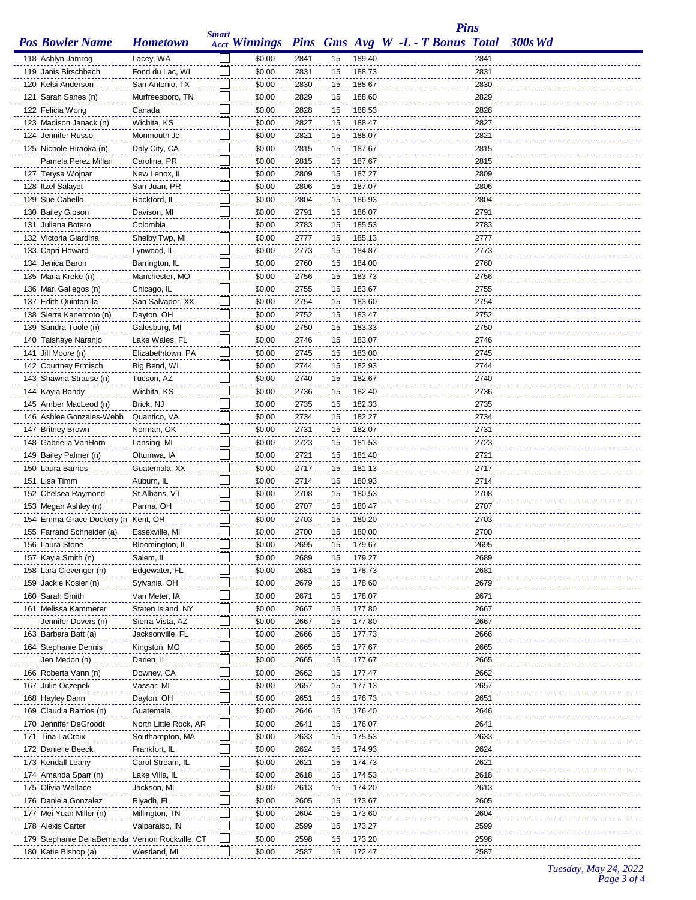|                                                                       |                              | <b>Smart</b> |                                                 |              |          |                  |  | <b>Pins</b>  |           |
|-----------------------------------------------------------------------|------------------------------|--------------|-------------------------------------------------|--------------|----------|------------------|--|--------------|-----------|
| <b>Pos Bowler Name</b>                                                | <b>Hometown</b>              |              | Acct Winnings Pins Gms Avg W -L - T Bonus Total |              |          |                  |  |              | $300s$ Wd |
| 118 Ashlyn Jamrog                                                     | Lacey, WA                    |              | \$0.00                                          | 2841         | 15       | 189.40           |  | 2841         |           |
| 119 Janis Birschbach                                                  | Fond du Lac, WI              |              | \$0.00                                          | 2831         | 15       | 188.73           |  | 2831         |           |
| 120 Kelsi Anderson                                                    | San Antonio, TX              |              | \$0.00                                          | 2830         | 15       | 188.67           |  | 2830         |           |
| 121 Sarah Sanes (n)                                                   | Murfreesboro, TN             |              | \$0.00                                          | 2829         | 15       | 188.60           |  | 2829         |           |
| 122 Felicia Wong                                                      | Canada                       |              | \$0.00                                          | 2828         | 15       | 188.53           |  | 2828         |           |
| 123 Madison Janack (n)                                                | Wichita, KS                  |              | \$0.00                                          | 2827         | 15       | 188.47           |  | 2827         |           |
| 124 Jennifer Russo                                                    | Monmouth Jc                  |              | \$0.00                                          | 2821         | 15       | 188.07           |  | 2821         |           |
| 125 Nichole Hiraoka (n)                                               | Daly City, CA                |              | \$0.00                                          | 2815         | 15       | 187.67           |  | 2815         |           |
| Pamela Perez Millan                                                   | Carolina, PR                 |              | \$0.00                                          | 2815         | 15       | 187.67           |  | 2815         |           |
| 127 Terysa Wojnar                                                     | New Lenox, IL                |              | \$0.00                                          | 2809         | 15       | 187.27           |  | 2809         |           |
| 128 Itzel Salayet                                                     | San Juan, PR                 |              | \$0.00                                          | 2806         | 15       | 187.07           |  | 2806         |           |
| 129 Sue Cabello                                                       | Rockford, IL                 |              | \$0.00                                          | 2804         | 15       | 186.93           |  | 2804         |           |
| 130 Bailey Gipson                                                     | Davison, MI                  |              | \$0.00                                          | 2791         | 15       | 186.07           |  | 2791         |           |
| 131 Juliana Botero                                                    | Colombia                     |              | \$0.00                                          | 2783         | 15       | 185.53           |  | 2783         |           |
| 132 Victoria Giardina                                                 | Shelby Twp, MI               |              | \$0.00                                          | 2777         | 15       | 185.13           |  | 2777         |           |
| 133 Capri Howard                                                      | Lynwood, IL                  |              | \$0.00                                          | 2773         | 15       | 184.87           |  | 2773         |           |
| 134 Jenica Baron                                                      | Barrington, IL               |              | \$0.00                                          | 2760         | 15       | 184.00           |  | 2760         |           |
| 135 Maria Kreke (n)                                                   | Manchester, MO               |              | \$0.00                                          | 2756         | 15       | 183.73           |  | 2756         |           |
| 136 Mari Gallegos (n)                                                 | Chicago, IL                  |              | \$0.00                                          | 2755         | 15       | 183.67           |  | 2755         |           |
| 137 Edith Quintanilla                                                 | San Salvador, XX             |              | \$0.00                                          | 2754         | 15       | 183.60           |  | 2754         |           |
| 138 Sierra Kanemoto (n)                                               | Dayton, OH                   |              | \$0.00                                          | 2752         | 15       | 183.47           |  | 2752         |           |
| 139 Sandra Toole (n)                                                  | Galesburg, MI                |              | \$0.00                                          | 2750         | 15       | 183.33           |  | 2750         |           |
| 140 Taishaye Naranjo                                                  | Lake Wales, FL               |              | \$0.00                                          | 2746         | 15       | 183.07           |  | 2746         |           |
| 141 Jill Moore (n)                                                    | Elizabethtown, PA            |              | \$0.00                                          | 2745         | 15       | 183.00           |  | 2745         |           |
| 142 Courtney Ermisch                                                  | Big Bend, WI                 |              | \$0.00                                          | 2744         | 15       | 182.93           |  | 2744         |           |
| 143 Shawna Strause (n)                                                | Tucson, AZ                   |              | \$0.00                                          | 2740         | 15       | 182.67           |  | 2740         |           |
| 144 Kayla Bandy                                                       | Wichita, KS                  |              | \$0.00                                          | 2736         | 15       | 182.40           |  | 2736         |           |
| 145 Amber MacLeod (n)                                                 | Brick, NJ                    |              | \$0.00                                          | 2735         | 15       | 182.33           |  | 2735         |           |
| 146 Ashlee Gonzales-Webb                                              | Quantico, VA                 |              | \$0.00                                          | 2734         | 15       | 182.27           |  | 2734         |           |
| 147 Britney Brown                                                     | Norman, OK                   |              | \$0.00                                          | 2731         | 15       | 182.07           |  | 2731         |           |
| 148 Gabriella VanHorn                                                 | Lansing, MI                  |              | \$0.00<br>\$0.00                                | 2723         | 15       | 181.53<br>181.40 |  | 2723<br>2721 |           |
| 149 Bailey Palmer (n)<br>150 Laura Barrios                            | Ottumwa, IA<br>Guatemala, XX |              | \$0.00                                          | 2721<br>2717 | 15<br>15 | 181.13           |  | 2717         |           |
| 151 Lisa Timm                                                         | Auburn, IL                   |              | \$0.00                                          | 2714         | 15       | 180.93           |  | 2714         |           |
| 152 Chelsea Raymond                                                   | St Albans, VT                |              | \$0.00                                          | 2708         | 15       | 180.53           |  | 2708         |           |
| 153 Megan Ashley (n)                                                  | Parma, OH                    |              | \$0.00                                          | 2707         | 15       | 180.47           |  | 2707         |           |
| 154 Emma Grace Dockery (n Kent, OH                                    |                              |              | \$0.00                                          | 2703         | 15       | 180.20           |  | 2703         |           |
| 155 Farrand Schneider (a)                                             | Essexville, MI               |              | \$0.00                                          | 2700         | 15       | 180.00           |  | 2700         |           |
| 156 Laura Stone                                                       | Bloomington, IL              |              | \$0.00                                          | 2695         | 15       | 179.67           |  | 2695         |           |
| 157 Kayla Smith (n)                                                   | Salem, IL                    |              | \$0.00                                          | 2689         | 15       | 179.27           |  | 2689         |           |
| 158 Lara Clevenger (n)                                                | Edgewater, FL                |              | \$0.00                                          | 2681         | 15       | 178.73           |  | 2681         |           |
| 159 Jackie Kosier (n)                                                 | Sylvania, OH                 |              | \$0.00                                          | 2679         | 15       | 178.60           |  | 2679         |           |
| 160 Sarah Smith                                                       | Van Meter, IA                |              | \$0.00                                          | 2671         | 15       | 178.07           |  | 2671         |           |
| 161 Melissa Kammerer                                                  | Staten Island, NY            |              | \$0.00                                          | 2667         | 15       | 177.80           |  | 2667         |           |
| Jennifer Dovers (n)                                                   | Sierra Vista, AZ             |              | \$0.00                                          | 2667         | 15       | 177.80           |  | 2667         |           |
| 163 Barbara Batt (a)                                                  | Jacksonville, FL             |              | \$0.00                                          | 2666         | 15       | 177.73           |  | 2666         |           |
| 164 Stephanie Dennis                                                  | Kingston, MO                 |              | \$0.00                                          | 2665         | 15       | 177.67           |  | 2665         |           |
| Jen Medon (n)                                                         | Darien, IL                   |              | \$0.00                                          | 2665         | 15       | 177.67           |  | 2665         |           |
| 166 Roberta Vann (n)                                                  | Downey, CA                   |              | \$0.00                                          | 2662         | 15       | 177.47           |  | 2662         |           |
| 167 Julie Oczepek                                                     | Vassar, MI                   |              | \$0.00                                          | 2657         | 15       | 177.13           |  | 2657         |           |
| 168 Hayley Dann                                                       | Dayton, OH                   |              | \$0.00                                          | 2651         | 15       | 176.73           |  | 2651         |           |
| 169 Claudia Barrios (n)                                               | Guatemala                    |              | \$0.00                                          | 2646         | 15       | 176.40           |  | 2646         |           |
| 170 Jennifer DeGroodt                                                 | North Little Rock, AR        |              | \$0.00                                          | 2641         | 15       | 176.07           |  | 2641         |           |
| 171 Tina LaCroix                                                      | Southampton, MA              |              | \$0.00                                          | 2633         | 15       | 175.53           |  | 2633         |           |
| 172 Danielle Beeck                                                    | Frankfort, IL                |              | \$0.00                                          | 2624         | 15       | 174.93           |  | 2624         |           |
| 173 Kendall Leahy                                                     | Carol Stream, IL             |              | \$0.00                                          | 2621         | 15       | 174.73           |  | 2621         |           |
| 174 Amanda Sparr (n)                                                  | Lake Villa, IL               |              | \$0.00                                          | 2618         | 15       | 174.53           |  | 2618         |           |
| 175 Olivia Wallace                                                    | Jackson, MI                  |              | \$0.00                                          | 2613         | 15       | 174.20           |  | 2613         |           |
| 176 Daniela Gonzalez                                                  | Riyadh, FL                   |              | \$0.00                                          | 2605         | 15       | 173.67           |  | 2605         |           |
| 177 Mei Yuan Miller (n)                                               | Millington, TN               |              | \$0.00<br>\$0.00                                | 2604         | 15       | 173.60           |  | 2604<br>2599 |           |
| 178 Alexis Carter<br>179 Stephanie DellaBernarda Vernon Rockville, CT | Valparaiso, IN               |              | \$0.00                                          | 2599<br>2598 | 15<br>15 | 173.27<br>173.20 |  | 2598         |           |
| 180 Katie Bishop (a)                                                  | Westland, MI                 |              | \$0.00                                          | 2587         | 15       | 172.47           |  | 2587         |           |
|                                                                       |                              |              |                                                 |              |          |                  |  |              |           |